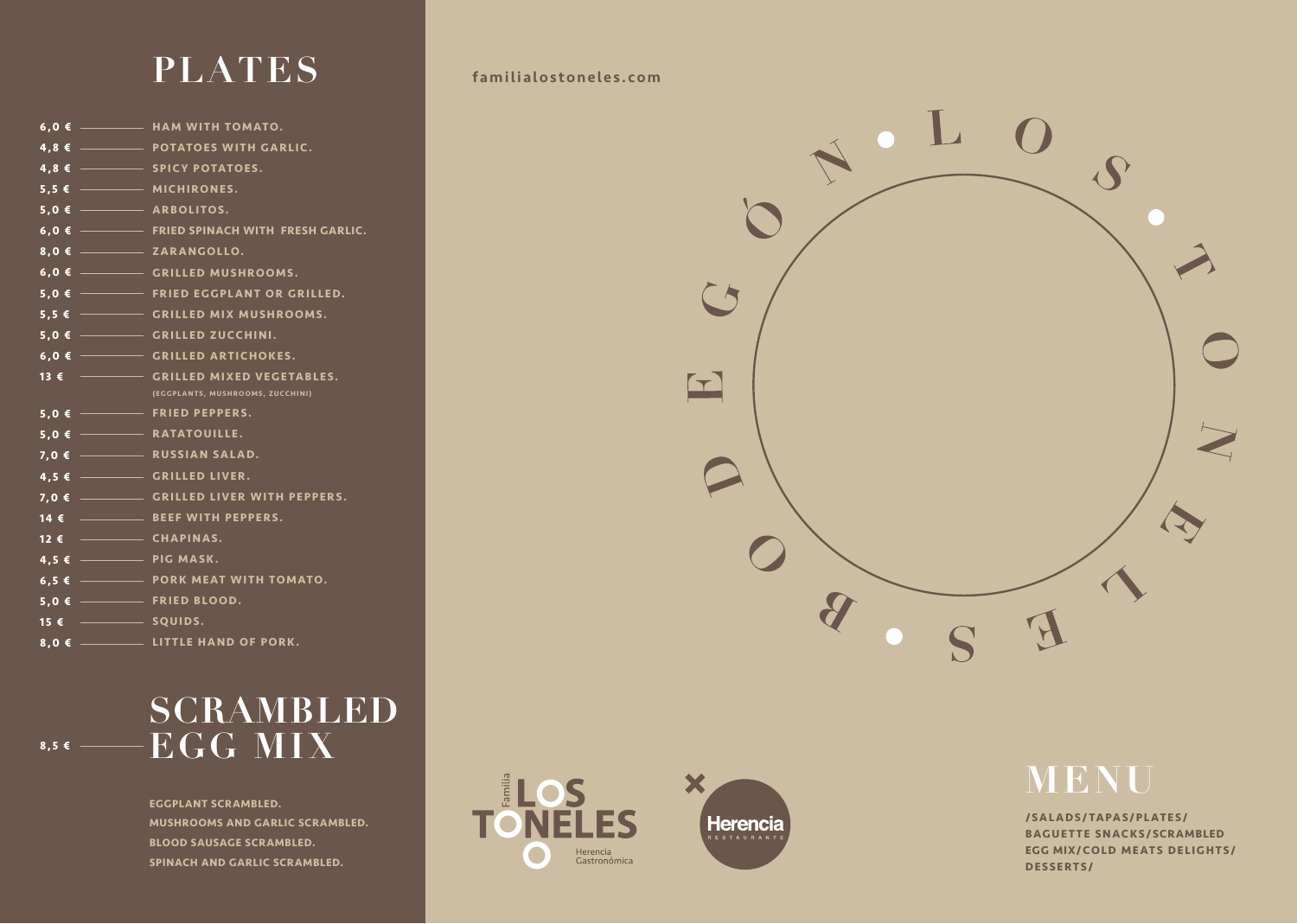# **PLATES** familialostoneles.com

#### **SCRAMBLED**  $\bullet$ .5 $\bullet$  **EGG MIX**

|                                                       | $6,0$ $\epsilon$ $\longrightarrow$ HAM WITH TOMATO.                |
|-------------------------------------------------------|--------------------------------------------------------------------|
|                                                       | $4,8 \in$ POTATOES WITH GARLIC.                                    |
|                                                       | $4,8 \in$ $\overline{\hspace{1cm}}$ SPICY POTATOES.                |
| $5,5 \in$ $-$ MICHIRONES.                             |                                                                    |
| $5,0$ $\epsilon$ $\longrightarrow$ ARBOLITOS.         |                                                                    |
|                                                       | 6,0 € FRIED SPINACH WITH FRESH GARLIC.                             |
|                                                       |                                                                    |
|                                                       | 6,0 € ------- GRILLED MUSHROOMS.                                   |
|                                                       | $5,0$ $\epsilon$ $\longrightarrow$ FRIED EGGPLANT OR GRILLED.      |
|                                                       | 5,5 € GRILLED MIX MUSHROOMS.                                       |
|                                                       | $5,0$ $\epsilon$ $\rightarrow$ GRILLED ZUCCHINI.                   |
|                                                       | $6,0$ $\epsilon$ $\longrightarrow$ GRILLED ARTICHOKES.             |
| 13 $\epsilon$ –                                       | <b>CRILLED MIXED VEGETABLES.</b>                                   |
|                                                       | (EGGPLANTS, MUSHROOMS, ZUCCHINI)                                   |
|                                                       | $5,0$ $\epsilon$ $\rightarrow$ FRIED PEPPERS.                      |
| $\overline{5,0}$ $\overline{\epsilon}$ - RATATOUILLE. |                                                                    |
|                                                       | $7,0$ $\epsilon$ $\rightarrow$ RUSSIAN SALAD.                      |
|                                                       | $4,5 \in$ $\overline{\hspace{1cm}}$ GRILLED LIVER.                 |
|                                                       | $7,0$ $\epsilon$ $\frac{1}{\sqrt{25}}$ GRILLED LIVER WITH PEPPERS. |
|                                                       |                                                                    |
| 12 € <del>- CHAPINAS.</del>                           |                                                                    |
| $4,5 \in$ PIG MASK.                                   |                                                                    |
|                                                       | $6,5$ $\epsilon$ $\rightarrow$ PORK MEAT WITH TOMATO.              |
| $5,0$ $\epsilon$ $\rightarrow$ FRIED BLOOD.           |                                                                    |
|                                                       |                                                                    |
|                                                       |                                                                    |
|                                                       |                                                                    |

**EGGPLANT SCRAMBLED. MUSHROOMS AND GARLIC SCRAMBLED. BLOOD SAUSAGE SCRAMBLED. SPINACH AND GARLIC SCRAMBLED.**







**/SALADS/TAPAS/PLATES/ BAGUETTE SNACKS/SCRAMBLED EGG MIX/COLD MEATS DELIGHTS/ DESSERTS/**

# **MENU**